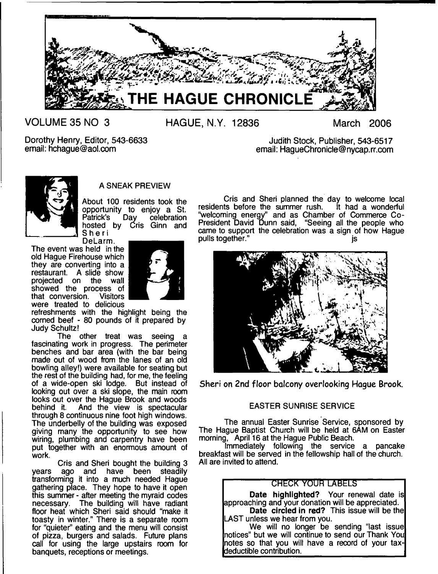

**VOLUME 35 NO 3**

**HAGUE, N.Y. 12836 March 2006**

Dorothy Henry, Editor, 543-6633 email: [hchague@aol.com](mailto:hchague@aol.com)

Judith Stock, Publisher, 543-6517 email: [HagueChronicle@nycap.rr.com](mailto:HagueChronicle@nycap.rr.com)



# A SNEAK PREVIEW

About 100 residents took the opportunity to enjoy a St. Patrick's Day celebration hosted by Cris Ginn and Sheri

DeLarm. The event was held in the old Hague Firehouse which they are converting into a restaurant. A slide show projected on the wall showed the process of that conversion. Visitors were treated to delicious



refreshments with the highlight being the corned beef - 80 pounds of it prepared by Judy Schultz!

The other treat was seeing a fascinating work in progress. The perimeter benches and bar area (with the bar being made out of wood from the lanes of an old bowling alley!) were available for seating but the rest of the building had, for me, the feeling of a wide-open ski lodge. But instead of looking out over a ski slope, the main room looks out over the Hague Brook and woods<br>behind it. And the view is spectacular And the view is spectacular through 8 continuous nine foot high windows. The underbelly of the building was exposed giving many the opportunity to see how wiring, plumbing and carpentry have been put together with an enormous amount of work.

Cris and Sheri bought the building 3 years ago and have been steadily transforming it into a much needed Hague gathering place. They hope to have it open this summer - after meeting the myraid codes necessary. The building will have radiant floor heat which Sheri said should "make it toasty in winter." There is a separate room for "quieter" eating and the menu will consist of pizza, burgers and salads. Future plans call for using the large upstairs room for banquets, receptions or meetings.

Cris and Sheri planned the day to welcome local residents before the summer rush. It had a wonderful "welcoming energy" and as Chamber of Commerce Co-President David Dunn said, "Seeing all the people who came to support the celebration was a sign of how Hague pulls together." is



**Sheri on 2nd floor balcony overlooking Hague Brook.**

# EASTER SUNRISE SERVICE

The annual Easter Sunrise Service, sponsored by The Hague Baptist Church will be held at 6AM on Easter morning, April 16 at the Hague Public Beach.

Immediately following the service a pancake breakfast will be served in the fellowship hall of the church. All are invited to attend.

# **CHECK YOUR LABELS**

Date highlighted? Your renewal date is approaching and your donation will be appreciated. Date circled in red? This issue will be the LAST unless we hear from you.

We will no longer be sending "last issue notices" but we will continue to send our Thank You notes so that you will have a record of your taxdeductible contribution.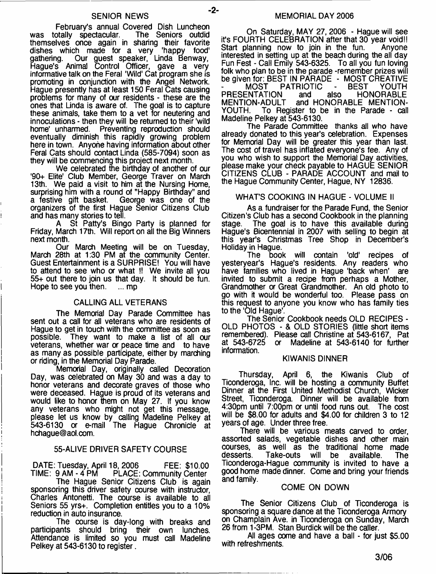#### SENIOR NEWS

February's annual Covered Dish Luncheon was totally spectacular. The Seniors outdid themselves once again in sharing their favorite dishes which made for a very 'happy food' gathering. Our guest speaker, Linda Benway, Hague's Animal Control Officer, gave a very informative talk on the Feral 'Wild' Cat program she is promoting in conjunction with the Angel Network. Hague presently has at least 150 Feral Cats causing problems for many of our residents - these are the ones that Linda is aware of. The goal is to capture these animals, take them to a vet for neutering and innoculations - then they will be returned to their 'wild home' unharmed. Preventing reproduction should eventually diminish this rapidly growing problem here in town. Anyone having information about other Feral Cats should contact Linda (585-7094) soon as they will be commencing this project next month.

We celebrated the birthday of another of our '90+ Elite' Club Member, George Traver on March 13th. We paid a visit to him at the Nursing Home, surprising him with a round of "Happy Birthday" and<br>a festive gift basket. George was one of the George was one of the organizers of the first Hague Senior Citizens Club and has many stories to tell.

St Patty's Bingo Party is planned for Friday, March 17th. Will report on all the Big Winners next month.

Our March Meeting will be on Tuesday, March 28th at 1:30 PM at the community Center. Guest Entertainment is a SURPRISE! You will have to attend to see who or what I! We invite all you 55+ out there to join us that day. It should be fun. Hope to see you then.  $\ldots$  mp

#### CALLING ALL VETERANS

The Memorial Day Parade Committee has sent out a call for all veterans who are residents of Hague to get in touch with the committee as soon as possible. They want to make a list of all our veterans, whether war or peace time and to have as many as possible participate, either by marching or riding, in the Memorial Day Parade.

Memorial Day, originally called Decoration Day, was celebrated on May 30 and was a day to honor veterans and decorate graves of those who were deceased. Hague is proud of its veterans and would like to honor them on May 27. If you know any veterans who might not get this message, please let us know by calling Madeline Pelkey at 543-6130 or e-mail The Hague Chronicle at [hchague@aol.com.](mailto:hchague@aol.com)

#### 55-ALIVE DRIVER SAFETY COURSE

DATE: Tuesday, April 18, 2006 FEE; \$10.00 TIME: 9 AM - 4 PM PLACE: Community Center

The Hague Senior Citizens Club is again sponsoring this driver safety course with instructor, Charles Antonetti. The course is available to all Seniors 55 yrs+. Completion entitles you to a 10% reduction in auto insurance.

The course is day-long with breaks and participants should bring their own lunches. Attendance is limited so you must call Madeline Pelkey at 543-6130 to register.

On Saturday, MAY 27,2006 - Hague will see it's FOURTH CELEBRATION after that 30 year void!!<br>Start planning now to join in the fun. Anvone Start planning now to join in the fun. interested in setting up at the beach during the all day Fun Fest - Call Emily 543-6325. To all you fun loving folk who plan to be in the parade -remember prizes will be given for: BEST IN PARADE - MOST CREATIVE PATRIOTIC - BEST YOUTH<br>V and also HONORABLE PRESENTATION<br>MENTION-ADULT MENTION-ADULT and HONORABLE MENTION-To Register to be in the Parade - call Madeline Pelkey at 543-6130.

The Parade Committee thanks all who have already donated to this year's celebration. Expenses for Memorial Day will be greater this year than last. The cost of travel has inflated everyone's fee. Any of you who wish to support the Memorial Day activities, please make your check payable to HAGUE SENIOR CITIZENS CLUB - PARADE ACCOUNT and mail to the Hague Community Center, Hague, NY 12836.

#### WHAT'S COOKING IN HAGUE - VOLUME II

As a fundraiser for the Parade Fund, the Senior Citizen's Club has a second Cookbook in the planning The goal is to have this available during Hague's Bicentennial in 2007 with selling to begin at this year's Christmas Tree Shop in December's Holiday in Hague.<br>The boo

book will contain 'old' recipes of yesteryear's Hague's residents. Any readers who have families who lived in Hague 'back when' are invited to submit a recipe from perhaps a Mother, Grandmother or Great Grandmother. An old photo to go with it would be wonderful too. Please pass on this request to anyone you know who has family ties to the 'Old Hague'.

The Senior Cookbook needs OLD RECIPES - OLD PHOTOS - & OLD STORIES (little short items remembered). Please call Christine at 543-6167, Pat or Madeline at 543-6140 for further information.

#### KIWANIS DINNER

Thursday, April 6, the Kiwanis Club of Ticonderoga, Inc. will be hosting a community Buffet Dinner at the First United Methodist Church, Wicker Street, Ticonderoga. Dinner will be available from 4:30pm until 7:00pm or until food runs out. The cost will be \$8.00 for adults and \$4.00 for children 3 to 12 years of age. Under three free.

There will be various meats carved to order, assorted salads, vegetable dishes and other main courses, as well as the traditional home made Take-outs will be available. The Ticonderoga-Hague community is invited to have a good home made dinner. Come and bring your friends and family.

#### COME ON DOWN

The Senior Citizens Club of Ticonderoga is sponsoring a square dance at the Ticonderoga Armory on Champlain Ave. in Ticonderoga on Sunday, March 26 from 1-3PM. Stan Burdick will be the caller.

All ages come and have a ball - for just \$5.00 with refreshments.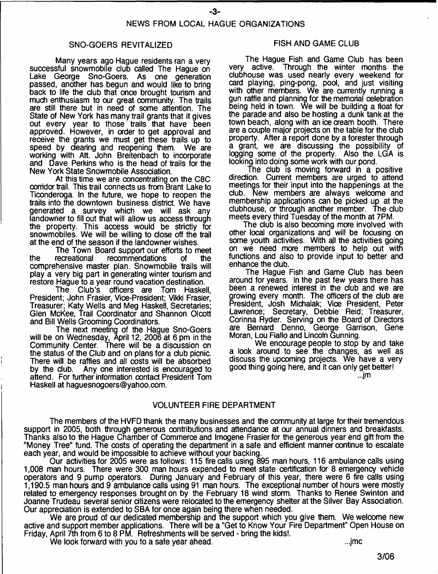#### SNO-GOERS REVITALIZED

Many years ago Hague residents ran a very successful snowmobile club called The Hague on Lake George Sno-Goers. As one generation passed, another has begun and would like to bring back to life the club that once brought tourism and much enthusiasm to our great community. The trails are still there but in need of some attention. The State of New York has many trail grants that it gives out every year to those trails that have been approved. However, in order to get approval and receive the grants we must get these trails up to speed by dearing and reopening them. We are speed by dearing and reopening them. working with Att. John Breitenbach to incorporate and Dave Perkins who is the head of trails for the New York State Snowmobile Association.

At this time we are concentrating on the C8C corridor trail. This trail connects us from Brant Lake to Ticonderoga. In the future, we hope to reopen the trails into the downtown business district. We have generated a survey which we will ask any landowner to fill out that will allow us access through the property. This access would be strictly for snowmobiles. We will be willing to dose off the trail at the end of the season if the landowner wishes.

The Town Board support our efforts to meet<br>recreational recommendations of the the recreational recommendations comprehensive master plan. Snowmobile trails will play a very big part in generating winter tourism and restore Hague to a year round vacation destination.

The Club's officers are Tom Haskell, President; John Frasier, Vice-President; Vikki Frasier, Treasurer; Katy Wells and Meg Haskell, Secretaries; Glen McKee, Trail Coordinator and Shannon Olcott and Bill Wells Grooming Coordinators.

The next meeting of the Hague Sno-Goers will be on Wednesday, April 12, 2006 at 6 pm in the Community Center. There will be a discussion on the status of the Club and on plans for a dub picnic. There will be raffles and all costs will be absorbed<br>by the club. Any one interested is encouraged to Any one interested is encouraged to attend. For further information contact President Tom Haskell at [haguesnogoers@yahoo.com](mailto:haguesnogoers@yahoo.com).

#### FISH AND GAME CLUB

The Hague Fish and Game Club has been<br>very active. Through the winter months the Through the winter months the clubhouse was used nearly every weekend for card playing, ping-pong, pool, and just visiting with other members. We are currently running a gun raffle and planning for the memorial celebration being held in town. We will be building a float for the parade and also be hosting a dunk tank at the town beach, along with an ice cream booth. There are a couple major projects on the table for the dub property. After a report done by a forester through a grant, we are discussing the possibility of logging some of the property. Also the LGA is looking into doing some work with our pond.

The dub is moving forward in a positive direction. Current members are urged to attend meetings for their input into the happenings at the club. New members are always welcome and membership applications can be picked up at the clubhouse, or through another member. The club meets every third Tuesday of the month at 7PM.

The dub is also becoming more involved with other local organizations and will be focusing on some youth activities. With all the activities going on we need more members to help out with functions and also to provide input to better and enhance the club.

The Hague Fish and Game Club has been around for years. In the past few years there has been a renewed interest in the club and we are growing every month. The officers of the dub are President, Josh Michalak; Vice President, Peter Lawrence; Secretary, Debbie Reid; Treasurer, Corinna Ryder. Serving on the Board of Diredors are Bernard Denno, George Garrison, Gene Moran, Lou Fiallo and Lincoln Gunning.

We encourage people to stop by and take a look around to see the changes, as well as discuss the upcoming projects. We have a very good thing going here, and it can only get better!

...jm

#### VOLUNTEER FIRE DEPARTMENT

The members of the HVFD thank the many businesses and the community at large for their tremendous support in 2005, both through generous contributions and attendance at our annual dinners and breakfasts. Thanks also to the Hague Chamber of Commerce and Imogene Frasier for the generous year end gift from the "Money Tree" fund. The costs of operating the department in a safe and efficient manner continue to escalate each year, and would be impossible to achieve without your backing.

Our activities for 2005 were as follows: 115 fire calls using 895 man hours, 116 ambulance calls using 1,008 man hours. There were 300 man hours expended to meet state certification for 8 emergency vehicle operators and 9 pump operators. During January and February of this year, there were 6 fire calls using 1,190.5 man hours and 9 ambulance calls using 91 man hours. The exceptional number of hours were mostly related to emergency responses brought on by the February 18 wind storm. Thanks to Renee Swinton and Joanne Trudeau several senior citizens were relocated to the emergency shelter at the Silver Bay Association. Our appreciation is extended to SBA for once again being there when needed.

We are proud of our dedicated membership and the support which you give them. We welcome new active and support member applications. There will be a "Get to Know Your Fire Department" Open House on Friday, April 7th from 6 to 8 PM. Refreshments will be served - bring the kids!.

We look forward with you to a safe year ahead. ...jmc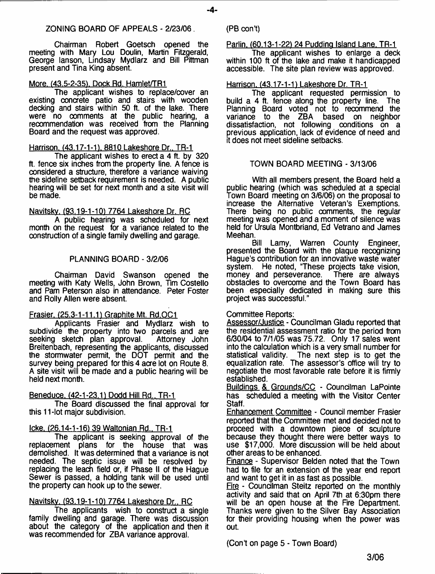#### ZONING BOARD OF APPEALS - 2/23/06.

Chairman Robert Goetsch opened the meeting with Mary Lou Doulin, Martin Fitzgerald, George lanson, Lindsay Mydlarz and Bill Pittman present and Tina King absent.

#### More. (43.5-2-35). Dock Rd. Hamlet/TR1

The applicant wishes to replace/cover an existing concrete patio and stairs with wooden decking and stairs within 50 ft. of the lake. There were no oomments at the public hearing, a recommendation was received from the Planning Board and the request was approved.

#### Harrison. (43.17-1-1). 8810 Lakeshore Dr.. TR-1

The applicant wishes to erect a 4 ft. by 320 ft. fence six inches from the property line. A fence is considered a structure, therefore a variance waiving the sideline setback requirement is needed. A public hearing will be set for next month and a site visit will be made.

Navitskv. (93.19-1-10) 7764 Lakeshore Dr. RC

A public hearing was scheduled for next month on the request for a variance related to the construction of a single family dwelling and garage.

#### PLANNING BOARD - 3/2/06

Chairman David Swanson opened the meeting with Katy Wells, John Brown, Tim Costello and Pam Peterson also in attendance. Peter Foster and Roily Allen were absent.

#### Frasier. (25.3-1-11.1) Graphite Mt. Rd.OC1

Applicants Frasier and Mydlarz wish to subdivide the property into two parcels and are seeking sketch plan approval. Attorney John seeking sketch plan approval. Breitenbach, representing the applicants, discussed the stormwater permit, the DOT permit and the survey being prepared for this 4 acre lot on Route 8. A site visit will be made and a public hearing will be held next month.

#### Beneduce. (42-1-23.11 Dodd Hill Rd.. TR-1

The Board discussed the final approval for this 11 -lot major subdivision.

#### Icke. (26.14-1-16) 39Waltonian Rd.. TR-1

The applicant is seeking approval of the replacement plans for the house that was demolished. It was determined that a variance is not needed. The septic issue wiil be resolved by replacing the leach field or, if Phase II of the Hague Sewer is passed, a holding tank will be used until the property can hook up to the sewer.

#### Navitskv. (93.19-1-10) 7764 Lakeshore Dr.. RC

The applicants wish to construct a single family dwelling and garage. There was discussion about the category of the application and then it was recommended for ZBA variance approval.

#### $(PB con't)$

Parlin. (60.13-1-22) 24 Pudding Island Lane. TR-1

The applicant wishes to enlarge a deck within 100 ft of the lake and make it handicapped accessible. The site plan review was approved.

#### Harrison. (43.17-1-1) Lakeshore Dr. TR-1

The applicant requested permission to build a 4 ft. fence along the property line. The Planning Board voted not to recommend the<br>variance to the ZBA based on neighbor  $variance$  to the  $ZBA$ dissatisfaction, not following conditions on a previous application, lack of evidence of need and it does not meet sideline setbacks.

#### TOWN BOARD MEETING - 3/13/06

With all members present, the Board held a public hearing (which was scheduled at a special Town Board meeting on 3/6/06) on the proposal to increase the Alternative Veteran's Exemptions. There being no public comments, the regular meeting was opened and a moment of silence was held for Ursula Montbriand, Ed Vetrano and James Meehan.<br>Bill

Lamy, Warren County Engineer, presented the Board with the plaque recognizing Hague's contribution for an innovative waste water system. He noted, "These projects take vision,<br>money and perseverance. There are always money and perseverance. obstacles to overcome and the Town Board has been especially dedicated in making sure this project was successful."

#### Committee Reports:

Assessor/Justice - Councilman Gladu reported that the residential assessment ratio for the period from 6/30/04 to 7/1/05 was 75.72. Only 17 sales went into the calculation which is a very small number for statistical validity. The next step is to get the equalization rate. The assessor's office will try to negotiate the most favorable rate before it is firmly established.

Buildings & Grounds/CC - Councilman LaPointe has scheduled a meeting with the Visitor Center Staff.

Enhancement Committee - Council member Frasier reported that the Committee met and decided not to proceed with a downtown piece of sculpture because they thought there were better ways to use \$17,000. More discussion will be held about other areas to be enhanced.

Finance - Supervisor Belden noted that the Town had to file for an extension of the year end report and want to get it in as fast as possible.

Fire - Councilman Steitz reported on the monthly activity and said that on April 7th at 6:30pm there will be an open house at the Fire Department. Thanks were given to the Silver Bay Association for their providing housing when the power was out.

(Con't on page 5 - Town Board)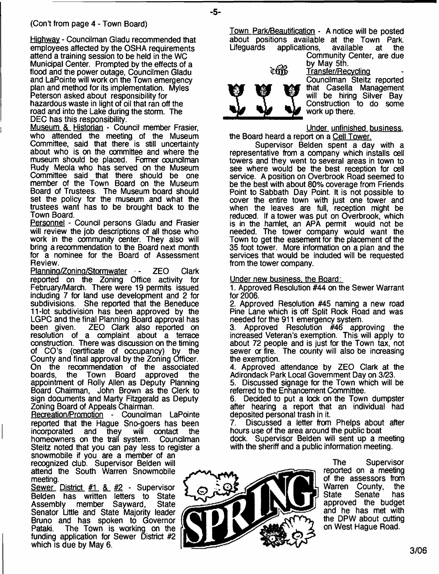# (Con't from page 4 - Town Board)

Highway - Councilman Gladu recommended that employees affected by the OSHA requirements attend a training session to be held in the WC Municipal Center. Prompted by the effects of a flood and the power outage, Councilmen Gladu and LaPointe will work on the Town emergency plan and method for its implementation. Myles Peterson asked about responsibility for hazardous waste in light of oil that ran off the road and into the Lake during the storm. The DEC has this responsibility.

Museum & Historian - Council member Frasier, who attended the meeting of the Museum Committee, said that there is still uncertainty about who is on the committee and where the museum should be placed. Former councilman Rudy Meola who has served on the Museum Committee said that there should be one member of the Town Board on the Museum Board of Trustees. The Museum board should set the policy for the museum and what the trustees want has to be brought back to the Town Board.

Personnel - Council persons Gladu and Frasier will review the job descriptions of all those who work in the community center. They also will bring a recommendation to the Board next month for a nominee for the Board of Assessment Review.

Planning/Zoning/Stormwater - ZEO Clark reported on the Zoning Office activity for February/March. There were 19 permits issued including 7 for land use development and 2 for subdivisions. She reported that the Beneduce 11-lot subdivision has been approved by the LGPC and the final Planning Board approval has<br>been given. ZEO Clark also reported on ZEO Clark also reported on resolution of a complaint about a terrace construction. There was discussion on the timing of CO's (certificate of occupancy) by the County and final approval by the Zoning Officer. On the recommendation of the associated<br>boards, the Town Board approved the Town Board approved the appointment of Roily Allen as Deputy Planning Board Chairman, John Brown as the Clerk to sign documents and Marty Fitzgerald as Deputy Zoning Board of Appeals Chairman.

Recreation/Promotion - Councilman LaPointe reported that the Hague Sno-goers has been<br>incorporated and they will contact the incorporated and they will contact the homeowners on the trail system. Councilman Steitz noted that you can pay less to register a snowmobile if you are a member of an recognized dub. Supervisor Belden will attend the South Warren Snowmobile meeting.

Sewer District #1 & #2 - Supervisor Belden has written letters to State<br>Assembly member Sayward, State Assembly member Sayward, Senator Little and State Majority leader Bruno and has spoken to Governor Pataki. The Town is working on the funding application for Sewer District #2 which is due by May 6.

Town Park/Beautification - A notice will be posted about positions available at the Town Park. applications,

Community Center, are due by May 5th.<br>Transfer/Red Transfer

Transfer/Recvdinp Coundlman Steitz reported that Casella Management will be hiring Silver Bay Construction to do some work up there.

Under unfinished business. the Board heard a report on a Cell Tower.

Supervisor Belden spent a day with a representative from a company which installs cell towers and they went to several areas in town to see where would be the best reception for cell service. A position on Overbrook Road seemed to be the best with about 80% coverage from Friends Point to Sabbath Day Point. It is not possible to cover the entire town with just one tower and when the leaves are full, reception might be reduced. If a tower was put on Overbrook, which is in the hamlet, an APA permit would not be needed. The tower company would want the Town to get the easement for the placement of the 35 foot tower. More information on a plan and the services that would be induded will be requested from the tower company.

#### Under new business, the Board:

1. Approved Resolution #44 on the Sewer Warrant for 2006.

2. Approved Resolution #45 naming a new road Pine Lane which is off Split Rock Road and was needed for the 911 emergency system.<br>3. Approved Resolution #46 app

Approved Resolution #46 approving the increased Veteran's exemption. This will apply to about 72 people and is just for the Town tax, not sewer or fire. The county will also be increasing the exemption.

4. Approved attendance by ZEO Clark at the Adirondack Park Local Government Day on 3/23.

5. Discussed signage for the Town which will be referred to the Enhancement Committee.

6. Decided to put a lock on the Town dumpster after hearing a report that an individual had deposited personal trash in it.

7. Discussed a letter from Phelps about after hours use of the area around the public boat

dock. Supervisor Belden will sent up a meeting with the sheriff and a public information meeting.



The Supervisor reported on a meeting of the assessors from Warren County, the<br>State Senate has Senate has approved the budget and he has met with the DPW about cutting on West Hague Road.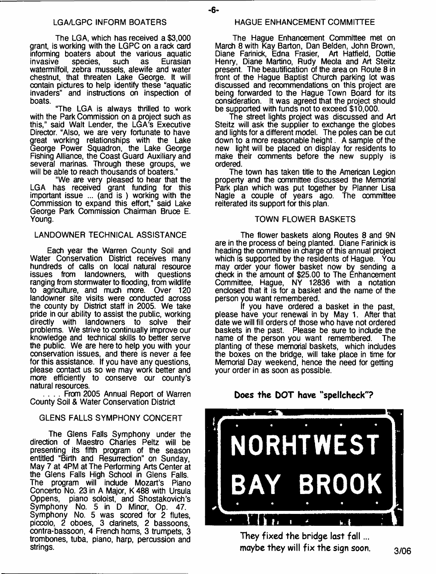The LGA, which has received a \$3,000 grant, is working with the LGPC on a rack card informing boaters about the various aquatic invasive species, such as Eurasian watemnilfoil, zebra mussels, alewife and water chestnut, that threaten Lake George. It will contain pictures to help identify these "aquatic invaders" and instructions on inspection of boats.

"The LGA is always thrilled to work with the Park Commission on a project such as this," said Walt Lender, the LGA's Executive Director. "Also, we are very fortunate to have great working relationships with the Lake George Power Squadron, the Lake George Fishing Alliance, the Coast Guard Auxiliary and several marinas. Through these groups, we will be able to reach thousands of boaters."

"We are very pleased to hear that the LGA has received grant funding for this important issue ... (and is ) working with the Commission to expand this effort," said Lake George Park Commission Chairman Bruce E. Young.

### LANDOWNER TECHNICAL ASSISTANCE

Each year the Warren County Soil and Water Conservation District receives many hundreds of calls on local natural resource issues from landowners, with questions ranging from stormwater to flooding, from wildlife to agriculture, and much more. Over 120 landowner site visits were conducted across the county by District staff in 2005. We take pride in our ability to assist the public, working<br>directly with landowners to solve their with landowners to solve their problems. We strive to continually improve our knowledge and technical skills to better serve the public. We are here to help you with your conservation issues, and there is never a fee for this assistance. If you have any questions, please contact us so we may work better and more efficiently to conserve our county's natural resources.

From 2005 Annual Report of Warren County Soil & Water Conservation District

# GLENS FALLS SYMPHONY CONCERT

The Glens Falls Symphony under the direction of Maestro Charles Peltz will be presenting its fifth program of the season entitled "Birth and Resurrection" on Sunday, May 7 at 4PM at The Performing Arts Center at the Glens Falls High School in Glens Falls. The program will include Mozart's Piano Concerto No. 23 in A Major, K 488 with Ursula Oppens, piano soloist, and Shostakovich's Symphony No. 5 in D Minor, Op. 47. Symphony No. 5 was scored for 2 flutes, piccolo, 2 oboes, 3 clarinets, 2 bassoons, contra-bassoon, 4 French horns, 3 trumpets, 3 trombones, tuba, piano, harp, percussion and strings.

- **6**-

The Hague Enhancement Committee met on March 8 with Kay Barton, Dan Belden, John Brown, Diane Farinick, Edna Frasier, Art Hatfield, Dottie Henry, Diane Martino, Rudy Meola and Art Steitz present. The beautification of the area on Route 8 in front of the Hague Baptist Church parking lot was discussed and recommendations on this project are being forwarded to the Hague Town Board for its consideration. It was agreed that the project should be supported with funds not to exceed \$10,000.

The street lights project was discussed and Art Steitz will ask the supplier to exchange the globes and lights for a different model. The poles can be cut down to a more reasonable height. A sample of the new light will be placed on display for residents to make their comments before the new supply is ordered.

The town has taken title to the American Legion property and the committee discussed the Memorial Park plan which was put together by Planner Lisa Nagle a couple of years ago. The committee reiterated its support for this plan.

# TOWN FLOWER BASKETS

The flower baskets along Routes 8 and 9N are in the process of being planted. Diane Farinick is heading the committee in charge of this annual project which is supported by the residents of Hague. You may order your flower basket now by sending a check in the amount of \$25.00 to The Enhancement Committee, Hague, NY 12836 with a notation enclosed that it is for a basket and the name of the person you want remembered.

If you have ordered a basket in the past, please have your renewal in by May 1. After that date we will fill orders of those who have not ordered baskets in the past. Please be sure to include the name of the person you want remembered. The name of the person you want remembered. planting of these memorial baskets, which includes the boxes on the bridge, will take place in time for Memorial Day weekend, hence the need for getting your order in as soon as possible.

# **Docs the DOT have "spellcheck"?** N0RHTWEST **BROOK**  $\pmb{\lambda}$

They fixed the bridge last fall ... **maybe they will fix the sign soon.**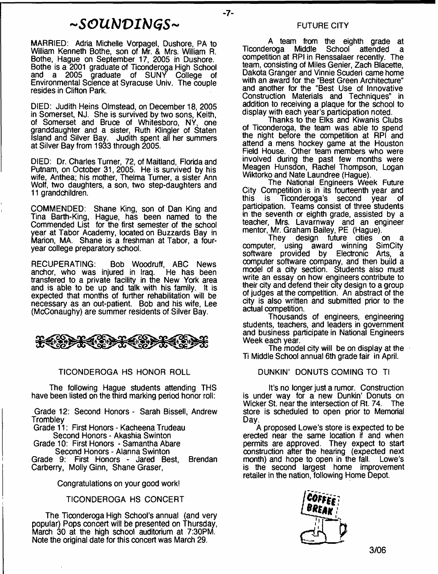# *- S O U b J V I b J G S -*

MARRIED: Adria Michelle Vorpagel, Dushore, PA to William Kenneth Bothe, son of Mr. & Mrs. William R. Bothe, Hague on September 17, 2005 in Dushore. Bothe is a 2001 graduate of Ticonderoga High School a 2005 graduate of SUNY College of Environmental Science at Syracuse Univ. The couple resides in Clifton Park.

DIED: Judith Heins Olmstead, on December 18, 2005 in Somerset, NJ. She is survived by two sons, Keith, of Somerset and Bruce of Whitesboro, NY, one granddaughter and a sister, Ruth Klingler of Staten Island and Silver Bay. Judith spent all her summers at Silver Bay from 1933 through 2005.

DIED: Dr. Charles Turner, 72, of Maitland, Florida and Putnam, on October 31, 2005. He is survived by his wife, Anthea; his mother, Thelma Turner, a sister Ann Wolf, two daughters, a son, two step-daughters and 11 grandchildren.

COMMENDED: Shane King, son of Dan King and Tina Barth-King, Hague, has been named to the Commended List for the first semester of the school year at Tabor Academy, located on Buzzards Bay in Marion, MA. Shane is a freshman at Tabor, a fouryear college preparatory school.

RECUPERATING: Bob Woodruff, ABC News<br>anchor, who was injured in Iraq. He has been anchor, who was injured in Iraq. transfered to a private facility in the New York area and is able to be up and talk with his family. It is expected that months of further rehabilitation will be necessary as an out-patient. Bob and his wife, Lee (McConaughy) are summer residents of Silver Bay.

\*\*\*\*\*\*\*\*\*\*\*

#### TICONDEROGA HS HONOR ROLL

The following Hague students attending THS have been listed on the third marking period honor roll:

Grade 12: Second Honors - Sarah Bissell, Andrew **Trombley** 

Grade 11: First Honors - Kacheena Trudeau Second Honors - Akashia Swinton

Grade 10: First Honors - Samantha Abare Second Honors - Alanna Swinton

Grade 9: First Honors - Jared Best, Brendan Carberry, Molly Ginn, Shane Graser,

Congratulations on your good work!

#### TICONDEROGA HS CONCERT

The Ticonderoga High School's annual (and very popular) Pops concert will be presented on Thursday, March 30 at the high school auditorium at 7:30PM. Note the original date for this concert was March 29.

#### FUTURE CITY

- **7**-

A team from the eighth grade at<br>Ticonderoga Middle School attended a School attended a competition at RPI in Renssalaer recently. The team, consisting of Miles Genier, Zach Blacette, Dakota Granger and Vinnie Scuderi came home with an award for the "Best Green Architecture" and another for the "Best Use of Innovative Construction Materials and Techniques" in addition to receiving a plaque for the school to display with each year's participation noted.

Thanks to the Elks and Kiwanis Clubs of Ticonderoga, the team was able to spend the night before the competition at RPI and attend a mens hockey game at the Houston Field House. Other team members who were involved during the past few months were Meagen Hunsdon, Rachel Thompson, Logan Wiktorko and Nate Laundree (Hague).

The National Engineers Week Future City Competition is in its fourteenth year and this is Ticonderoga's second year of Ticonderoga's second year of participation. Teams consist of three students in the seventh or eighth grade, assisted by a teacher, Mrs. Lavarnway and an engineer mentor, Mr. Graham Bailey, PE (Hague).

They design future cities on a<br>computer, using award winning SimCity award winning SimCity<br>d by Electronic Arts, a software provided by Electronic Arts, a computer software company, and then build a model of a city section. Students also must write an essay on how engineers contribute to their city and defend their city design to a group of judges at the competition. An abstract of the city is also written and submitted prior to the actual competition.

Thousands of engineers, engineering students, teachers, and leaders in government and business participate in National Engineers Week each year.

The model city will be on display at the  $\pm$ Ti Middle School annual 6th grade fair in April.

#### DUNKIN' DONUTS COMING TO TI

It's no longer just a rumor. Construction is under way for a new Dunkin' Donuts on Wicker St. near the intersection of Rt. 74. The store is scheduled to open prior to Memorial Day.

A proposed Lowe's store is expected to be erected near the same location if and when permits are approved. They expect to start construction after the hearing (expected next month) and hope to open in the fall. Lowe's is the second largest home improvement retailer in the nation, following Home Depot.

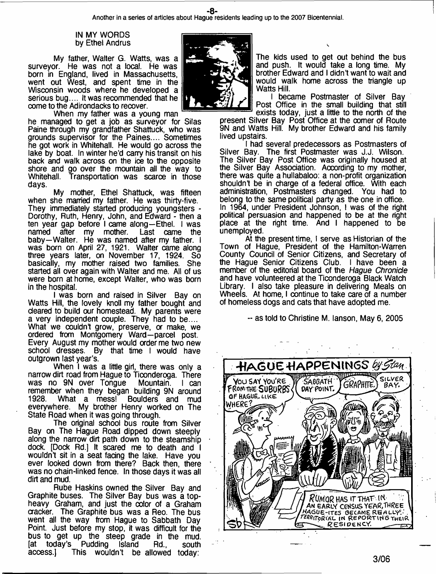**Another in a series of articles about Hague residents leading up to the 2007 Bicentennial.**

#### IN MY WORDS by Ethel Andrus

My father, Walter G. Watts, was a surveyor. He was not a local. He was born in England, lived in Massachusetts, went out West, and spent time in the Wisconsin woods where he developed a serious bug.... It was recommended that he come to the Adirondacks to recover.

When my father was a young man he managed to get a job as surveyor for Silas Paine through my grandfather Shattuck, who was grounds supervisor for the Paines.... Sometimes he got work in Whitehall. He would go across the lake by boat. In winter he'd carry his transit on his back and walk across on the ice to the opposite shore and go over the mountain all the way to Whitehall. Transportation was scarce in those days.

My mother, Ethel Shattuck, was fifteen when she married my father. He was thirty-five. They immediately started producing youngsters - Dorothy, Ruth, Henry, John, and Edward - then a ten year gap before I came along—Ethel. I was named after my mother. Last came the baby—Walter. He was named after my father. I was born on April 27, 1921. Walter came along three years later, on November 17, 1924. So basically, my mother raised two families. She started all over again with Walter and me. All of us were born at home, except Walter, who was born in the hospital.

I was born and raised in Silver Bay on Watts Hill, the lovely knoll my father bought and cleared to build our homestead. My parents were a very independent couple. They had to be.... What we couldn't grow, preserve, or make, we ordered from Montgomery Ward—parcel post. Every August my mother would order me two new school dresses. By that time I would have outgrown last year's.

When I was a little girl, there was only a narrow dirt road from Hague to Ticonderoga. There was no 9N over Tongue Mountain. I can remember when they began building 9N around<br>1928. What a mess! Boulders and mud 1928. What a mess! Boulders and mud everywhere. My brother Henry worked on The State Road when it was going through.

The original school bus route from Silver Bay on The Hague Road dipped down steeply along the narrow dirt path down to the steamship dock. [Dock Rd.) It scared me to death and I wouldn't sit in a seat facing the lake. Have you ever looked down from there? Back then, there was no chain-linked fence. In those days it was all dirt and mud.

Rube Haskins owned the Silver Bay and Graphite buses. The Silver Bay bus was a topheavy Graham, and just the color of a Graham cracker. The Graphite bus was a Reo. The bus went ail the way from Hague to Sabbath Day Point. Just before my stop, it was difficult for the bus to get up the steep grade in the mud.<br>[at today's Pudding Island Rd., south [at today's Pudding Island Rd., south access.] This wouldn't be allowed today:



The kids used to get out behind the bus and push. It would take a long time. My brother Edward and I didn't want to wait and would walk home across the triangle up Watts Hill.

I became Postmaster of Silver Bay Post Office in the small building that still

exists today, just a little to the north of the present Silver Bay Post Office at the oomer of Route 9N and Watts Hill. My brother Edward and his family lived upstairs.

I had several predecessors as Postmasters of Silver Bay. The first Postmaster was J.J. Wilson. The Silver Bay Post Office was originally housed at the Silver Bay Association. According to my mother, there was quite a hullabaloo: a non-profit organization shouldn't be in charge of a federal office. With each administration, Postmasters changed. You had to belong to the same political party as the one in office. In 1964, under President Johnson, I was of the right political persuasion and happened to be at the right place at the right time. And I happened to be unemployed.

At the present time, I serve as Historian of the Town of Hague, President of the Hamilton-Warren County Council of Senior Citizens, and Secretary of the Hague Senior Citizens Club. I have been a member of the editorial board of the *Hague Chronicle* and have volunteered at the Ticonderoga Black Watch Library. I also take pleasure in delivering Meals on Wheels. At home, I continue to take care of a number of homeless dogs and cats that have adopted me.

- as told to Christine M. lanson, May 6, 2005

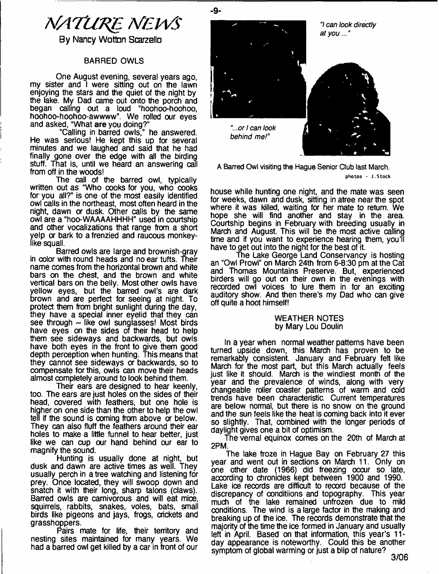

By Nancy Wotton Scarzello

#### BARRED OWLS

One August evening, several years ago, my sister and I were sitting out on the lawn enjoying the stars and the quiet of the night by the lake. My Dad came out onto the porch and began calling out a loud "hoohoo-hoohoo, hoohoo-hoohoo-awwww". We rolled our eyes and asked, "What **are** you doing?"

"Calling in barred owls," he answered. He was serious! He kept this up for several minutes and we laughed and said that he had finally gone over the edge with all the birding stuff. That is, until we heard an answering call from off in the woods!

The call of the barred owl, typically written out as "Who cooks for you, who cooks for you all?" is one of the most easily identified owl calls in the northeast, most often heard in the night, dawn or dusk. Other calls by the same owl are a "hoo-WAAAAHHHH" used in courtship and other vocalizations that range from a short yelp or bark to a frenzied and raucous monkeylike squall.

Barred owls are large and brownish-gray in color with round heads and no ear tufts. Their name comes from the horizontal brown and white bars on the chest, and the brown and white vertical bars on the belly. Most other owls have yellow eyes, but the barred owl's are dark brown and are perfect for seeing at night. To protect them from bright sunlight during the day, they have a special inner eyelid that they can see through  $\sim$  like owl sunglasses! Most birds have eyes on the sides of their head to help them see sideways and backwards, but owls have both eyes in the front to give them good depth perception when hunting. This means that they cannot see sideways or backwards, so to compensate for this, owls can move their heads almost completely around to look behind them.

Their ears are designed to hear keenly, too. The ears are just holes on the sides of their head, covered with feathers, but one hole is higher on one side than the other to help the owl tell if the sound is coming from above or below. They can also fluff the feathers around their ear holes to make a little funnel to hear better, just like we can cup our hand behind our ear to magnify the sound.

Hunting is usually done at night, but dusk and dawn are active times as well. They usually perch in a tree watching and listening for prey. Once located, they will swoop down and snatch it with their long, sharp talons (claws). Barred owls are carnivorous and will eat mice, squirrels, rabbits, snakes, voles, bats, small birds like pigeons and jays, frogs, crickets and grasshoppers.

Pairs mate for life, their territory and nesting sites maintained for many years. We had a barred owl get killed by a car in front of our



**A Barred Owl visiting the Hague Senior Club last March.** photos - J.Stock

house while hunting one night, and the mate was seen for weeks, dawn and dusk, sitting in atree near the spot where it was killed, waiting for her mate to return. We hope she will find another and stay in the area. Courtship begins in February with breeding usually in March and August. This will be the most active calling time and if you want to experience hearing them, you'll have to get out into the night for the best of it.

The Lake George Land Conservancy is hosting an "Owl Prowl" on March 24th from 6-8:30 pm at the Cat and Thomas Mountains Preserve. But, experienced birders will go out on their own in the evenings with recorded owl voices to lure them in for an exciting auditory show. And then there's my Dad who can give off quite a hoot himself!

#### WEATHER NOTES by Mary Lou Doulin

In a year when normal weather patterns have been turned upside down, this March has proven to be remarkably consistent. January and February felt like March for the most part, but this March actually feels just like it should. March is the windiest month of the year and the prevalence of winds, along with very changeable roller coaster patterns of warm and cold trends have been characteristic. Current temperatures are below normal, but there is no snow on the ground and the sun feels like the heat is coming back into it ever so slightly. That, combined with the longer periods of daylight gives one a bit of optimism.

The vernal equinox comes on the 20th of March at 2PM.

The lake froze in Hague Bay on February 27 this year and went out in sections on March 11. Only on one other date (1966) did freezing occur so late, according to chronicles kept between 1900 and 1990. Lake ioe records are difficult to record because of the discrepancy of conditions and topography. This year much of the lake remained unfrozen due to mild conditions. The wind is a large factor in the making and breaking up of the ice. The records demonstrate that the majority of the time the ice formed in January and usually left in April. Based on that information, this year's 11 day appearance is noteworthy. Could this be another symptom of global warming or just a blip of nature?